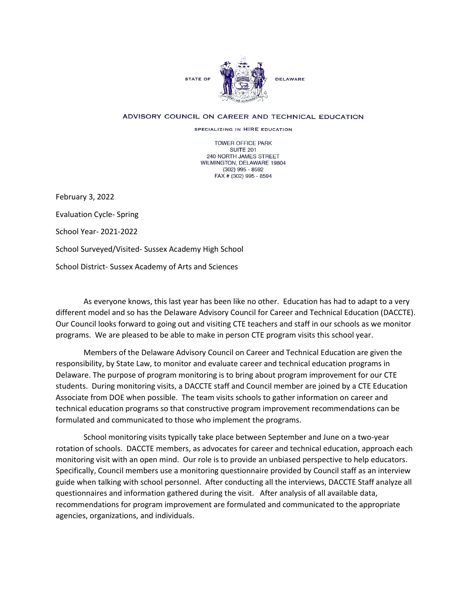

## ADVISORY COUNCIL ON CAREER AND TECHNICAL EDUCATION

SPECIALIZING IN HIRE EDUCATION

TOWER OFFICE PARK SUITE 201 240 NORTH JAMES STREET WILMINGTON, DELAWARE 19804 (302) 995 - 8592 FAX # (302) 995 - 8594

February 3, 2022

Evaluation Cycle- Spring

School Year- 2021-2022

School Surveyed/Visited- Sussex Academy High School

School District- Sussex Academy of Arts and Sciences

As everyone knows, this last year has been like no other. Education has had to adapt to a very different model and so has the Delaware Advisory Council for Career and Technical Education (DACCTE). Our Council looks forward to going out and visiting CTE teachers and staff in our schools as we monitor programs. We are pleased to be able to make in person CTE program visits this school year.

Members of the Delaware Advisory Council on Career and Technical Education are given the responsibility, by State Law, to monitor and evaluate career and technical education programs in Delaware. The purpose of program monitoring is to bring about program improvement for our CTE students. During monitoring visits, a DACCTE staff and Council member are joined by a CTE Education Associate from DOE when possible. The team visits schools to gather information on career and technical education programs so that constructive program improvement recommendations can be formulated and communicated to those who implement the programs.

School monitoring visits typically take place between September and June on a two-year rotation of schools. DACCTE members, as advocates for career and technical education, approach each monitoring visit with an open mind. Our role is to provide an unbiased perspective to help educators. Specifically, Council members use a monitoring questionnaire provided by Council staff as an interview guide when talking with school personnel. After conducting all the interviews, DACCTE Staff analyze all questionnaires and information gathered during the visit. After analysis of all available data, recommendations for program improvement are formulated and communicated to the appropriate agencies, organizations, and individuals.